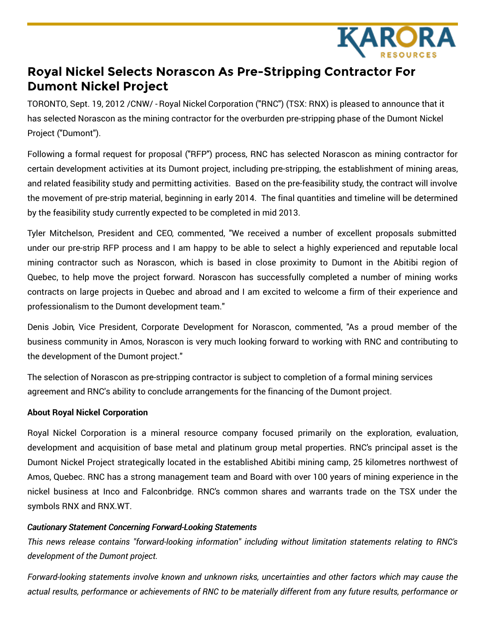

## **Royal Nickel Selects Norascon As Pre-Stripping Contractor For Dumont Nickel Project**

TORONTO, Sept. 19, 2012 /CNW/ - Royal Nickel Corporation ("RNC") (TSX: RNX) is pleased to announce that it has selected Norascon as the mining contractor for the overburden pre-stripping phase of the Dumont Nickel Project ("Dumont").

Following a formal request for proposal ("RFP") process, RNC has selected Norascon as mining contractor for certain development activities at its Dumont project, including pre-stripping, the establishment of mining areas, and related feasibility study and permitting activities. Based on the pre-feasibility study, the contract will involve the movement of pre-strip material, beginning in early 2014. The final quantities and timeline will be determined by the feasibility study currently expected to be completed in mid 2013.

Tyler Mitchelson, President and CEO, commented, "We received a number of excellent proposals submitted under our pre-strip RFP process and I am happy to be able to select a highly experienced and reputable local mining contractor such as Norascon, which is based in close proximity to Dumont in the Abitibi region of Quebec, to help move the project forward. Norascon has successfully completed a number of mining works contracts on large projects in Quebec and abroad and I am excited to welcome a firm of their experience and professionalism to the Dumont development team."

Denis Jobin, Vice President, Corporate Development for Norascon, commented, "As a proud member of the business community in Amos, Norascon is very much looking forward to working with RNC and contributing to the development of the Dumont project."

The selection of Norascon as pre-stripping contractor is subject to completion of a formal mining services agreement and RNC's ability to conclude arrangements for the financing of the Dumont project.

## **About Royal Nickel Corporation**

Royal Nickel Corporation is a mineral resource company focused primarily on the exploration, evaluation, development and acquisition of base metal and platinum group metal properties. RNC's principal asset is the Dumont Nickel Project strategically located in the established Abitibi mining camp, 25 kilometres northwest of Amos, Quebec. RNC has a strong management team and Board with over 100 years of mining experience in the nickel business at Inco and Falconbridge. RNC's common shares and warrants trade on the TSX under the symbols RNX and RNX.WT.

## *Cautionary Statement Concerning Forward-Looking Statements*

*This news release contains "forward-looking information" including without limitation statements relating to RNC's development of the Dumont project.*

*Forward-looking statements involve known and unknown risks, uncertainties and other factors which may cause the* actual results, performance or achievements of RNC to be materially different from any future results, performance or